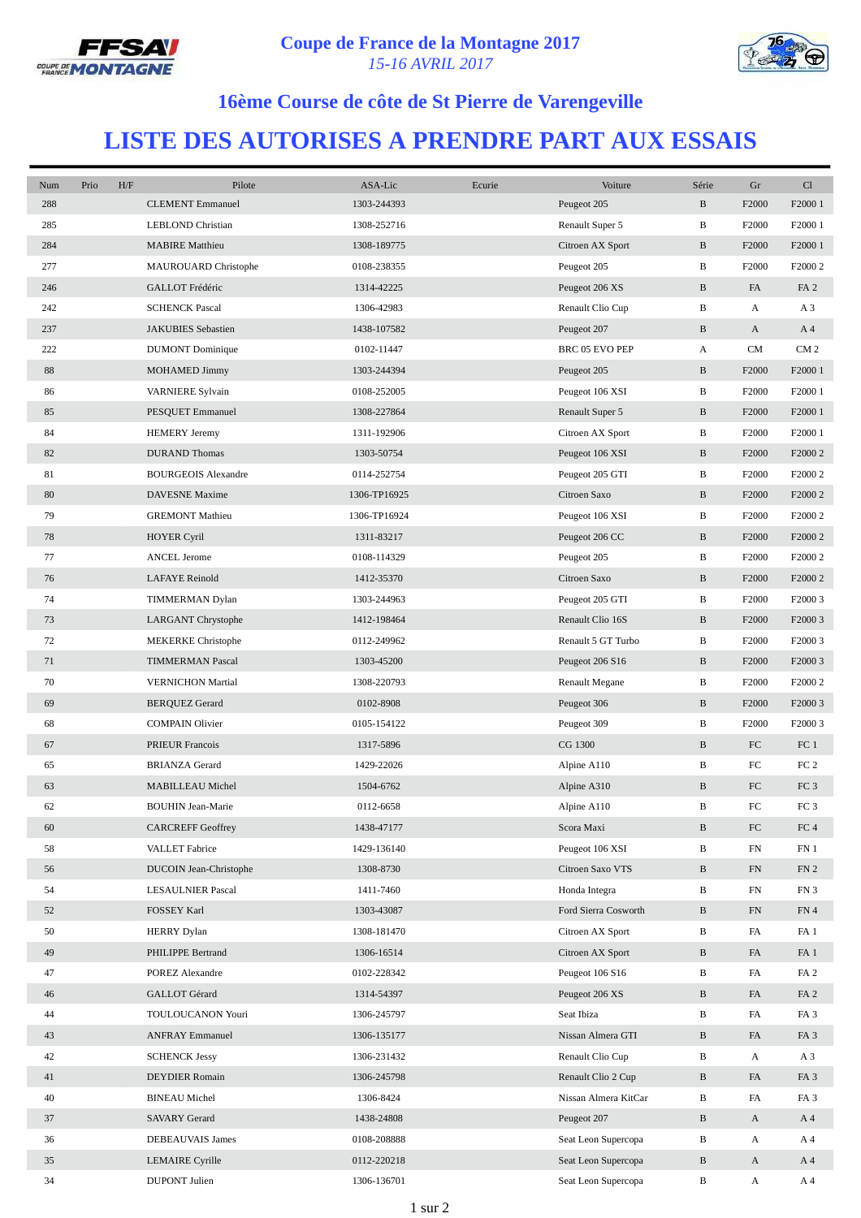



## **16ème Course de côte de St Pierre de Varengeville**

## **LISTE DES AUTORISES A PRENDRE PART AUX ESSAIS**

| Num | Prio | H/F | Pilote                     | ASA-Lic      | Ecurie | Voiture               | Série        | Gr                | Cl                  |
|-----|------|-----|----------------------------|--------------|--------|-----------------------|--------------|-------------------|---------------------|
| 288 |      |     | <b>CLEMENT</b> Emmanuel    | 1303-244393  |        | Peugeot 205           | $\, {\bf B}$ | F2000             | F2000 1             |
| 285 |      |     | LEBLOND Christian          | 1308-252716  |        | Renault Super 5       | B            | F <sub>2000</sub> | F2000 1             |
| 284 |      |     | <b>MABIRE</b> Matthieu     | 1308-189775  |        | Citroen AX Sport      | $\, {\bf B}$ | F2000             | F2000 1             |
| 277 |      |     | MAUROUARD Christophe       | 0108-238355  |        | Peugeot 205           | B            | F2000             | F2000 2             |
| 246 |      |     | GALLOT Frédéric            | 1314-42225   |        | Peugeot 206 XS        | $\, {\bf B}$ | FA                | FA <sub>2</sub>     |
| 242 |      |     | <b>SCHENCK Pascal</b>      | 1306-42983   |        | Renault Clio Cup      | B            | A                 | A <sub>3</sub>      |
| 237 |      |     | JAKUBIES Sebastien         | 1438-107582  |        | Peugeot 207           | $\, {\bf B}$ | A                 | A <sub>4</sub>      |
| 222 |      |     | <b>DUMONT</b> Dominique    | 0102-11447   |        | BRC 05 EVO PEP        | A            | <b>CM</b>         | CM <sub>2</sub>     |
| 88  |      |     | MOHAMED Jimmy              | 1303-244394  |        | Peugeot 205           | B            | F2000             | F2000 1             |
| 86  |      |     | VARNIERE Sylvain           | 0108-252005  |        | Peugeot 106 XSI       | B            | F2000             | F2000 1             |
| 85  |      |     | PESQUET Emmanuel           | 1308-227864  |        | Renault Super 5       | $\, {\bf B}$ | F2000             | F2000 1             |
| 84  |      |     | <b>HEMERY</b> Jeremy       | 1311-192906  |        | Citroen AX Sport      | B            | F <sub>2000</sub> | F <sub>2000</sub> 1 |
| 82  |      |     | <b>DURAND</b> Thomas       | 1303-50754   |        | Peugeot 106 XSI       | $\, {\bf B}$ | F2000             | F2000 2             |
| 81  |      |     | <b>BOURGEOIS Alexandre</b> | 0114-252754  |        | Peugeot 205 GTI       | B            | F <sub>2000</sub> | F2000 2             |
| 80  |      |     | <b>DAVESNE</b> Maxime      | 1306-TP16925 |        | Citroen Saxo          | $\, {\bf B}$ | F2000             | F2000 2             |
| 79  |      |     | <b>GREMONT Mathieu</b>     | 1306-TP16924 |        | Peugeot 106 XSI       | В            | F2000             | F2000 2             |
| 78  |      |     | <b>HOYER Cyril</b>         | 1311-83217   |        | Peugeot 206 CC        | $\, {\bf B}$ | F2000             | F2000 2             |
| 77  |      |     | <b>ANCEL Jerome</b>        | 0108-114329  |        | Peugeot 205           | B            | F2000             | F2000 2             |
| 76  |      |     | <b>LAFAYE</b> Reinold      | 1412-35370   |        | Citroen Saxo          | $\, {\bf B}$ | F2000             | F2000 2             |
| 74  |      |     | TIMMERMAN Dylan            | 1303-244963  |        | Peugeot 205 GTI       | B            | F2000             | F2000 3             |
| 73  |      |     | LARGANT Chrystophe         | 1412-198464  |        | Renault Clio 16S      | $\, {\bf B}$ | F2000             | F2000 3             |
| 72  |      |     | <b>MEKERKE</b> Christophe  | 0112-249962  |        | Renault 5 GT Turbo    | B            | F <sub>2000</sub> | F <sub>2000</sub> 3 |
| 71  |      |     | <b>TIMMERMAN Pascal</b>    | 1303-45200   |        | Peugeot 206 S16       | $\, {\bf B}$ | F2000             | F <sub>2000</sub> 3 |
| 70  |      |     | <b>VERNICHON Martial</b>   | 1308-220793  |        | <b>Renault Megane</b> | B            | F2000             | F2000 2             |
| 69  |      |     | <b>BERQUEZ Gerard</b>      | 0102-8908    |        | Peugeot 306           | $\, {\bf B}$ | F2000             | F2000 3             |
| 68  |      |     | <b>COMPAIN Olivier</b>     | 0105-154122  |        | Peugeot 309           | B            | F2000             | F2000 3             |
| 67  |      |     | <b>PRIEUR Francois</b>     | 1317-5896    |        | CG 1300               | $\, {\bf B}$ | FC                | FC <sub>1</sub>     |
| 65  |      |     | <b>BRIANZA Gerard</b>      | 1429-22026   |        | Alpine A110           | B            | FC                | FC <sub>2</sub>     |
| 63  |      |     | MABILLEAU Michel           | 1504-6762    |        | Alpine A310           | $\, {\bf B}$ | ${\rm FC}$        | FC <sub>3</sub>     |
| 62  |      |     | <b>BOUHIN Jean-Marie</b>   | 0112-6658    |        | Alpine A110           | B            | FC                | FC <sub>3</sub>     |
| 60  |      |     | <b>CARCREFF Geoffrey</b>   | 1438-47177   |        | Scora Maxi            | $\, {\bf B}$ | ${\rm FC}$        | ${\rm FC}$ 4        |
| 58  |      |     | VALLET Fabrice             | 1429-136140  |        | Peugeot 106 XSI       | B            | FN                | FN <sub>1</sub>     |
| 56  |      |     | DUCOIN Jean-Christophe     | 1308-8730    |        | Citroen Saxo VTS      | $\, {\bf B}$ | FN                | FN <sub>2</sub>     |
| 54  |      |     | <b>LESAULNIER Pascal</b>   | 1411-7460    |        | Honda Integra         | В            | FN                | FN3                 |
| 52  |      |     | FOSSEY Karl                | 1303-43087   |        | Ford Sierra Cosworth  | $\, {\bf B}$ | FN                | FN 4                |
| 50  |      |     | <b>HERRY Dylan</b>         | 1308-181470  |        | Citroen AX Sport      | B            | FA                | FA <sub>1</sub>     |
| 49  |      |     | PHILIPPE Bertrand          | 1306-16514   |        | Citroen AX Sport      | $\, {\bf B}$ | FA                | FA <sub>1</sub>     |
| 47  |      |     | POREZ Alexandre            | 0102-228342  |        | Peugeot 106 S16       | B            | FA                | FA <sub>2</sub>     |
| 46  |      |     | GALLOT Gérard              | 1314-54397   |        | Peugeot 206 XS        | B            | FA                | FA <sub>2</sub>     |
| 44  |      |     | TOULOUCANON Youri          | 1306-245797  |        | Seat Ibiza            | В            | FA                | FA <sub>3</sub>     |
| 43  |      |     | <b>ANFRAY Emmanuel</b>     | 1306-135177  |        | Nissan Almera GTI     | $\, {\bf B}$ | FA                | FA <sub>3</sub>     |
| 42  |      |     | <b>SCHENCK Jessy</b>       | 1306-231432  |        | Renault Clio Cup      | B            | A                 | A <sub>3</sub>      |
| 41  |      |     | DEYDIER Romain             | 1306-245798  |        | Renault Clio 2 Cup    | B            | FA                | FA <sub>3</sub>     |
| 40  |      |     | <b>BINEAU</b> Michel       | 1306-8424    |        | Nissan Almera KitCar  | $\, {\bf B}$ | FA                | FA <sub>3</sub>     |
| 37  |      |     | <b>SAVARY Gerard</b>       | 1438-24808   |        | Peugeot 207           | $\, {\bf B}$ | $\mathbf{A}$      | A <sub>4</sub>      |
| 36  |      |     | DEBEAUVAIS James           | 0108-208888  |        | Seat Leon Supercopa   | В            | A                 | A 4                 |
| 35  |      |     | LEMAIRE Cyrille            | 0112-220218  |        | Seat Leon Supercopa   | $\, {\bf B}$ | $\mathbf{A}$      | A <sub>4</sub>      |
| 34  |      |     | <b>DUPONT</b> Julien       | 1306-136701  |        | Seat Leon Supercopa   | В            | A                 | A 4                 |